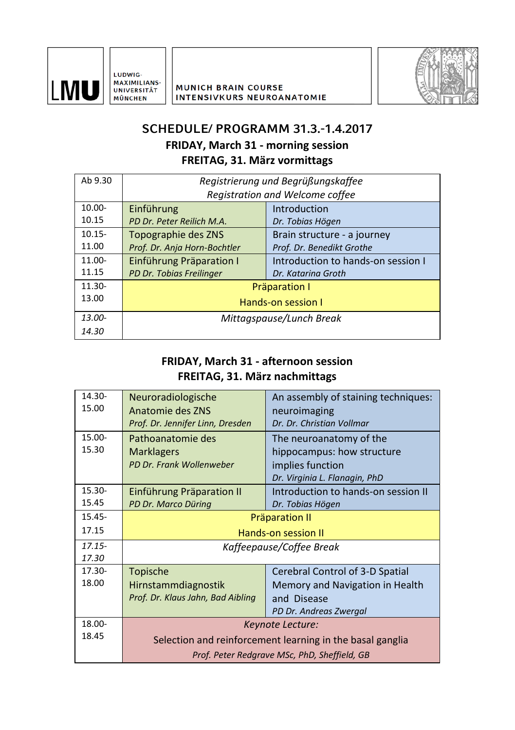

LUDWIG-MAXIMILIANS-UNIVERSITÄT **MÜNCHEN** 



## **SCHEDULE/ PROGRAMM 31.3.-1.4.2017**

**FRIDAY, March 31 - morning session**

**FREITAG, 31. März vormittags**

| Ab 9.30   | Registrierung und Begrüßungskaffee |                                    |
|-----------|------------------------------------|------------------------------------|
|           | Registration and Welcome coffee    |                                    |
| $10.00 -$ | Einführung                         | Introduction                       |
| 10.15     | PD Dr. Peter Reilich M.A.          | Dr. Tobias Högen                   |
| $10.15 -$ | Topographie des ZNS                | Brain structure - a journey        |
| 11.00     | Prof. Dr. Anja Horn-Bochtler       | Prof. Dr. Benedikt Grothe          |
| 11.00-    | Einführung Präparation I           | Introduction to hands-on session I |
| 11.15     | PD Dr. Tobias Freilinger           | Dr. Katarina Groth                 |
| $11.30 -$ | Präparation I                      |                                    |
| 13.00     | Hands-on session I                 |                                    |
| $13.00 -$ | Mittagspause/Lunch Break           |                                    |
| 14.30     |                                    |                                    |
|           |                                    |                                    |

#### **FRIDAY, March 31 - afternoon session FREITAG, 31. März nachmittags**

| 14.30-    | Neuroradiologische                                        | An assembly of staining techniques: |
|-----------|-----------------------------------------------------------|-------------------------------------|
| 15.00     | Anatomie des ZNS                                          | neuroimaging                        |
|           | Prof. Dr. Jennifer Linn, Dresden                          | Dr. Dr. Christian Vollmar           |
| 15.00-    | Pathoanatomie des                                         | The neuroanatomy of the             |
| 15.30     | <b>Marklagers</b>                                         | hippocampus: how structure          |
|           | PD Dr. Frank Wollenweber                                  | implies function                    |
|           |                                                           | Dr. Virginia L. Flanagin, PhD       |
| $15.30 -$ | Einführung Präparation II                                 | Introduction to hands-on session II |
| 15.45     | PD Dr. Marco Düring                                       | Dr. Tobias Högen                    |
| $15.45 -$ | <b>Präparation II</b>                                     |                                     |
| 17.15     | Hands-on session II                                       |                                     |
| $17.15 -$ | Kaffeepause/Coffee Break                                  |                                     |
| 17.30     |                                                           |                                     |
| 17.30-    | Topische                                                  | Cerebral Control of 3-D Spatial     |
| 18.00     | Hirnstammdiagnostik                                       | Memory and Navigation in Health     |
|           | Prof. Dr. Klaus Jahn, Bad Aibling                         | and Disease                         |
|           |                                                           | PD Dr. Andreas Zwergal              |
| 18.00-    | Keynote Lecture:                                          |                                     |
| 18.45     | Selection and reinforcement learning in the basal ganglia |                                     |
|           | Prof. Peter Redgrave MSc, PhD, Sheffield, GB              |                                     |